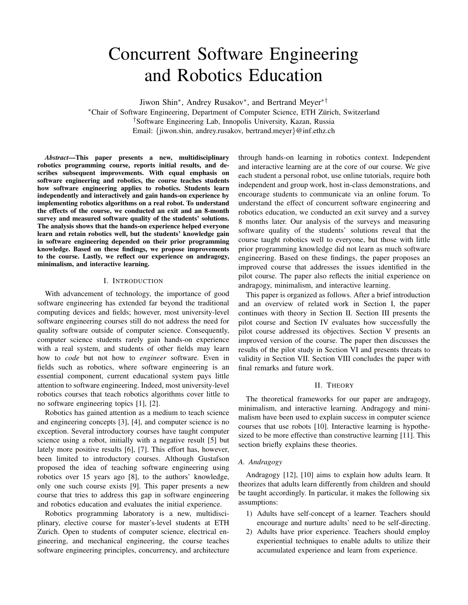# Concurrent Software Engineering and Robotics Education

Jiwon Shin<sup>∗</sup> , Andrey Rusakov<sup>∗</sup> , and Bertrand Meyer∗†

<sup>∗</sup>Chair of Software Engineering, Department of Computer Science, ETH Zurich, Switzerland ¨ †Software Engineering Lab, Innopolis University, Kazan, Russia Email: {jiwon.shin, andrey.rusakov, bertrand.meyer}@inf.ethz.ch

*Abstract*—This paper presents a new, multidisciplinary robotics programming course, reports initial results, and describes subsequent improvements. With equal emphasis on software engineering and robotics, the course teaches students how software engineering applies to robotics. Students learn independently and interactively and gain hands-on experience by implementing robotics algorithms on a real robot. To understand the effects of the course, we conducted an exit and an 8-month survey and measured software quality of the students' solutions. The analysis shows that the hands-on experience helped everyone learn and retain robotics well, but the students' knowledge gain in software engineering depended on their prior programming knowledge. Based on these findings, we propose improvements to the course. Lastly, we reflect our experience on andragogy, minimalism, and interactive learning.

## I. INTRODUCTION

With advancement of technology, the importance of good software engineering has extended far beyond the traditional computing devices and fields; however, most university-level software engineering courses still do not address the need for quality software outside of computer science. Consequently, computer science students rarely gain hands-on experience with a real system, and students of other fields may learn how to *code* but not how to *engineer* software. Even in fields such as robotics, where software engineering is an essential component, current educational system pays little attention to software engineering. Indeed, most university-level robotics courses that teach robotics algorithms cover little to no software engineering topics [1], [2].

Robotics has gained attention as a medium to teach science and engineering concepts [3], [4], and computer science is no exception. Several introductory courses have taught computer science using a robot, initially with a negative result [5] but lately more positive results [6], [7]. This effort has, however, been limited to introductory courses. Although Gustafson proposed the idea of teaching software engineering using robotics over 15 years ago [8], to the authors' knowledge, only one such course exists [9]. This paper presents a new course that tries to address this gap in software engineering and robotics education and evaluates the initial experience.

Robotics programming laboratory is a new, multidisciplinary, elective course for master's-level students at ETH Zurich. Open to students of computer science, electrical engineering, and mechanical engineering, the course teaches software engineering principles, concurrency, and architecture through hands-on learning in robotics context. Independent and interactive learning are at the core of our course. We give each student a personal robot, use online tutorials, require both independent and group work, host in-class demonstrations, and encourage students to communicate via an online forum. To understand the effect of concurrent software engineering and robotics education, we conducted an exit survey and a survey 8 months later. Our analysis of the surveys and measuring software quality of the students' solutions reveal that the course taught robotics well to everyone, but those with little prior programming knowledge did not learn as much software engineering. Based on these findings, the paper proposes an improved course that addresses the issues identified in the pilot course. The paper also reflects the initial experience on andragogy, minimalism, and interactive learning.

This paper is organized as follows. After a brief introduction and an overview of related work in Section I, the paper continues with theory in Section II. Section III presents the pilot course and Section IV evaluates how successfully the pilot course addressed its objectives. Section V presents an improved version of the course. The paper then discusses the results of the pilot study in Section VI and presents threats to validity in Section VII. Section VIII concludes the paper with final remarks and future work.

### II. THEORY

The theoretical frameworks for our paper are andragogy, minimalism, and interactive learning. Andragogy and minimalism have been used to explain success in computer science courses that use robots [10]. Interactive learning is hypothesized to be more effective than constructive learning [11]. This section briefly explains these theories.

## *A. Andragogy*

Andragogy [12], [10] aims to explain how adults learn. It theorizes that adults learn differently from children and should be taught accordingly. In particular, it makes the following six assumptions:

- 1) Adults have self-concept of a learner. Teachers should encourage and nurture adults' need to be self-directing.
- 2) Adults have prior experience. Teachers should employ experiential techniques to enable adults to utilize their accumulated experience and learn from experience.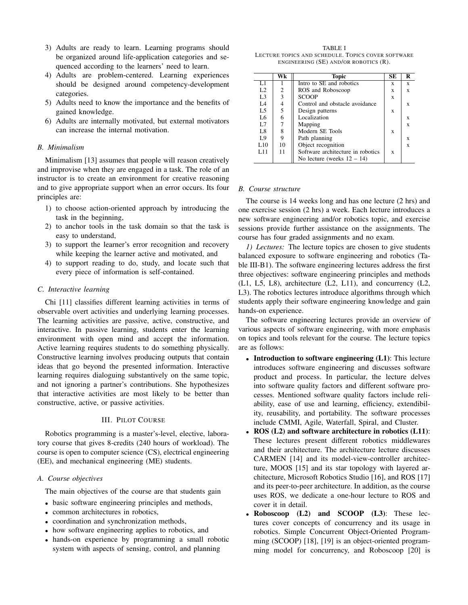- 3) Adults are ready to learn. Learning programs should be organized around life-application categories and sequenced according to the learners' need to learn.
- 4) Adults are problem-centered. Learning experiences should be designed around competency-development categories.
- 5) Adults need to know the importance and the benefits of gained knowledge.
- 6) Adults are internally motivated, but external motivators can increase the internal motivation.

# *B. Minimalism*

Minimalism [13] assumes that people will reason creatively and improvise when they are engaged in a task. The role of an instructor is to create an environment for creative reasoning and to give appropriate support when an error occurs. Its four principles are:

- 1) to choose action-oriented approach by introducing the task in the beginning,
- 2) to anchor tools in the task domain so that the task is easy to understand,
- 3) to support the learner's error recognition and recovery while keeping the learner active and motivated, and
- 4) to support reading to do, study, and locate such that every piece of information is self-contained.

## *C. Interactive learning*

Chi [11] classifies different learning activities in terms of observable overt activities and underlying learning processes. The learning activities are passive, active, constructive, and interactive. In passive learning, students enter the learning environment with open mind and accept the information. Active learning requires students to do something physically. Constructive learning involves producing outputs that contain ideas that go beyond the presented information. Interactive learning requires dialoguing substantively on the same topic, and not ignoring a partner's contributions. She hypothesizes that interactive activities are most likely to be better than constructive, active, or passive activities.

# III. PILOT COURSE

Robotics programming is a master's-level, elective, laboratory course that gives 8-credits (240 hours of workload). The course is open to computer science (CS), electrical engineering (EE), and mechanical engineering (ME) students.

## *A. Course objectives*

The main objectives of the course are that students gain

- basic software engineering principles and methods,
- common architectures in robotics,
- coordination and synchronization methods,
- how software engineering applies to robotics, and
- hands-on experience by programming a small robotic system with aspects of sensing, control, and planning

TABLE I LECTURE TOPICS AND SCHEDULE. TOPICS COVER SOFTWARE ENGINEERING (SE) AND/OR ROBOTICS (R).

|                 | Wk             | <b>Topic</b>                      | SЕ | R |
|-----------------|----------------|-----------------------------------|----|---|
| L1              |                | Intro to SE and robotics          | X  | X |
| L2              | 2              | ROS and Roboscoop                 | X  | X |
| L <sub>3</sub>  | 3              | <b>SCOOP</b>                      | X  |   |
| L <sub>4</sub>  | $\overline{4}$ | Control and obstacle avoidance    |    | X |
| L <sub>5</sub>  | 5              | Design patterns                   | X  |   |
| L6              | 6              | Localization                      |    | X |
| L7              | 7              | Mapping                           |    | X |
| L8              | 8              | Modern SE Tools                   | X  |   |
| L9              | 9              | Path planning                     |    | X |
| L10             | 10             | Object recognition                |    | X |
| L <sub>11</sub> | 11             | Software architecture in robotics | X  |   |
|                 |                | No lecture (weeks $12 - 14$ )     |    |   |

### *B. Course structure*

The course is 14 weeks long and has one lecture (2 hrs) and one exercise session (2 hrs) a week. Each lecture introduces a new software engineering and/or robotics topic, and exercise sessions provide further assistance on the assignments. The course has four graded assignments and no exam.

*1) Lectures:* The lecture topics are chosen to give students balanced exposure to software engineering and robotics (Table III-B1). The software engineering lectures address the first three objectives: software engineering principles and methods (L1, L5, L8), architecture (L2, L11), and concurrency (L2, L3). The robotics lectures introduce algorithms through which students apply their software engineering knowledge and gain hands-on experience.

The software engineering lectures provide an overview of various aspects of software engineering, with more emphasis on topics and tools relevant for the course. The lecture topics are as follows:

- Introduction to software engineering (L1): This lecture introduces software engineering and discusses software product and process. In particular, the lecture delves into software quality factors and different software processes. Mentioned software quality factors include reliability, ease of use and learning, efficiency, extendibility, reusability, and portability. The software processes include CMMI, Agile, Waterfall, Spiral, and Cluster.
- ROS (L2) and software architecture in robotics (L11): These lectures present different robotics middlewares and their architecture. The architecture lecture discusses CARMEN [14] and its model-view-controller architecture, MOOS [15] and its star topology with layered architecture, Microsoft Robotics Studio [16], and ROS [17] and its peer-to-peer architecture. In addition, as the course uses ROS, we dedicate a one-hour lecture to ROS and cover it in detail.
- Roboscoop (L2) and SCOOP (L3): These lectures cover concepts of concurrency and its usage in robotics. Simple Concurrent Object-Oriented Programming (SCOOP) [18], [19] is an object-oriented programming model for concurrency, and Roboscoop [20] is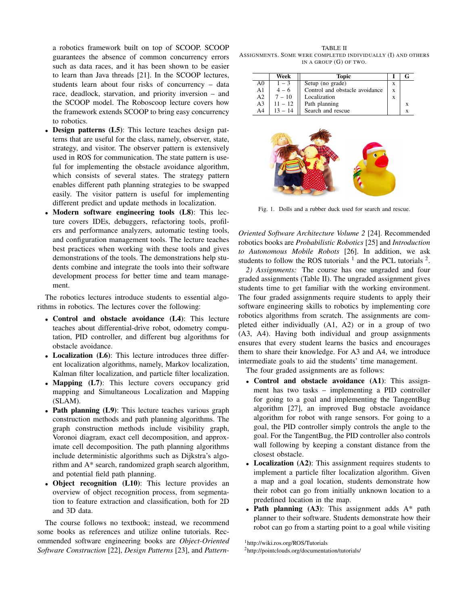a robotics framework built on top of SCOOP. SCOOP guarantees the absence of common concurrency errors such as data races, and it has been shown to be easier to learn than Java threads [21]. In the SCOOP lectures, students learn about four risks of concurrency – data race, deadlock, starvation, and priority inversion – and the SCOOP model. The Roboscoop lecture covers how the framework extends SCOOP to bring easy concurrency to robotics.

- Design patterns (L5): This lecture teaches design patterns that are useful for the class, namely, observer, state, strategy, and visitor. The observer pattern is extensively used in ROS for communication. The state pattern is useful for implementing the obstacle avoidance algorithm, which consists of several states. The strategy pattern enables different path planning strategies to be swapped easily. The visitor pattern is useful for implementing different predict and update methods in localization.
- Modern software engineering tools (L8): This lecture covers IDEs, debuggers, refactoring tools, profilers and performance analyzers, automatic testing tools, and configuration management tools. The lecture teaches best practices when working with these tools and gives demonstrations of the tools. The demonstrations help students combine and integrate the tools into their software development process for better time and team management.

The robotics lectures introduce students to essential algorithms in robotics. The lectures cover the following:

- Control and obstacle avoidance (L4): This lecture teaches about differential-drive robot, odometry computation, PID controller, and different bug algorithms for obstacle avoidance.
- Localization (L6): This lecture introduces three different localization algorithms, namely, Markov localization, Kalman filter localization, and particle filter localization.
- Mapping (L7): This lecture covers occupancy grid mapping and Simultaneous Localization and Mapping (SLAM).
- Path planning (L9): This lecture teaches various graph construction methods and path planning algorithms. The graph construction methods include visibility graph, Voronoi diagram, exact cell decomposition, and approximate cell decomposition. The path planning algorithms include deterministic algorithms such as Dijkstra's algorithm and A\* search, randomized graph search algorithm, and potential field path planning.
- Object recognition (L10): This lecture provides an overview of object recognition process, from segmentation to feature extraction and classification, both for 2D and 3D data.

The course follows no textbook; instead, we recommend some books as references and utilize online tutorials. Recommended software engineering books are *Object-Oriented Software Construction* [22], *Design Patterns* [23], and *Pattern-*

TABLE II ASSIGNMENTS. SOME WERE COMPLETED INDIVIDUALLY (I) AND OTHERS IN A GROUP (G) OF TWO.

|                | Week      | Topic                          |   |   |
|----------------|-----------|--------------------------------|---|---|
| A0             | $1 - 3$   | Setup (no grade)               | X |   |
| A <sub>1</sub> | $4 - 6$   | Control and obstacle avoidance | X |   |
| A <sub>2</sub> | $7 - 10$  | Localization                   | X |   |
| A <sub>3</sub> | $11 - 12$ | Path planning                  |   | x |
| A <sub>4</sub> | $13 - 14$ | Search and rescue              |   | x |



Fig. 1. Dolls and a rubber duck used for search and rescue.

*Oriented Software Architecture Volume 2* [24]. Recommended robotics books are *Probabilistic Robotics* [25] and *Introduction to Autonomous Mobile Robots* [26]. In addition, we ask students to follow the ROS tutorials  $<sup>1</sup>$  and the PCL tutorials  $<sup>2</sup>$ .</sup></sup>

*2) Assignments:* The course has one ungraded and four graded assignments (Table II). The ungraded assignment gives students time to get familiar with the working environment. The four graded assignments require students to apply their software engineering skills to robotics by implementing core robotics algorithms from scratch. The assignments are completed either individually (A1, A2) or in a group of two (A3, A4). Having both individual and group assignments ensures that every student learns the basics and encourages them to share their knowledge. For A3 and A4, we introduce intermediate goals to aid the students' time management.

The four graded assignments are as follows:

- Control and obstacle avoidance (A1): This assignment has two tasks – implementing a PID controller for going to a goal and implementing the TangentBug algorithm [27], an improved Bug obstacle avoidance algorithm for robot with range sensors. For going to a goal, the PID controller simply controls the angle to the goal. For the TangentBug, the PID controller also controls wall following by keeping a constant distance from the closest obstacle.
- Localization (A2): This assignment requires students to implement a particle filter localization algorithm. Given a map and a goal location, students demonstrate how their robot can go from initially unknown location to a predefined location in the map.
- Path planning  $(A3)$ : This assignment adds  $A^*$  path planner to their software. Students demonstrate how their robot can go from a starting point to a goal while visiting

<sup>1</sup>http://wiki.ros.org/ROS/Tutorials

<sup>2</sup>http://pointclouds.org/documentation/tutorials/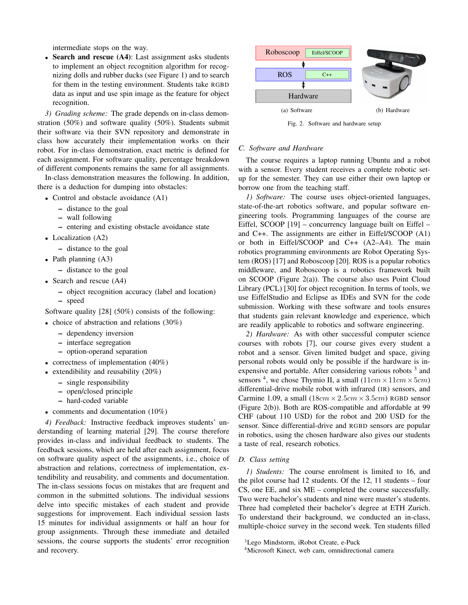intermediate stops on the way.

• Search and rescue (A4): Last assignment asks students to implement an object recognition algorithm for recognizing dolls and rubber ducks (see Figure 1) and to search for them in the testing environment. Students take RGBD data as input and use spin image as the feature for object recognition.

*3) Grading scheme:* The grade depends on in-class demonstration (50%) and software quality (50%). Students submit their software via their SVN repository and demonstrate in class how accurately their implementation works on their robot. For in-class demonstration, exact metric is defined for each assignment. For software quality, percentage breakdown of different components remains the same for all assignments.

In-class demonstration measures the following. In addition, there is a deduction for dumping into obstacles:

- Control and obstacle avoidance (A1)
	- distance to the goal
	- wall following
	- entering and existing obstacle avoidance state
- Localization (A2)
	- distance to the goal
- Path planning (A3)
	- distance to the goal
- Search and rescue (A4)
	- object recognition accuracy (label and location) – speed

Software quality [28] (50%) consists of the following:

- choice of abstraction and relations (30%)
	- dependency inversion
	- interface segregation
	- option-operand separation
- correctness of implementation (40%)
- extendibility and reusability (20%)
	- single responsibility
	- open/closed principle
	- hard-coded variable
- comments and documentation (10%)

*4) Feedback:* Instructive feedback improves students' understanding of learning material [29]. The course therefore provides in-class and individual feedback to students. The feedback sessions, which are held after each assignment, focus on software quality aspect of the assignments, i.e., choice of abstraction and relations, correctness of implementation, extendibility and reusability, and comments and documentation. The in-class sessions focus on mistakes that are frequent and common in the submitted solutions. The individual sessions delve into specific mistakes of each student and provide suggestions for improvement. Each individual session lasts 15 minutes for individual assignments or half an hour for group assignments. Through these immediate and detailed sessions, the course supports the students' error recognition and recovery.



Fig. 2. Software and hardware setup

## *C. Software and Hardware*

The course requires a laptop running Ubuntu and a robot with a sensor. Every student receives a complete robotic setup for the semester. They can use either their own laptop or borrow one from the teaching staff.

*1) Software:* The course uses object-oriented languages, state-of-the-art robotics software, and popular software engineering tools. Programming languages of the course are Eiffel, SCOOP [19] – concurrency language built on Eiffel – and C++. The assignments are either in Eiffel/SCOOP (A1) or both in Eiffel/SCOOP and C++ (A2–A4). The main robotics programming environments are Robot Operating System (ROS) [17] and Roboscoop [20]. ROS is a popular robotics middleware, and Roboscoop is a robotics framework built on SCOOP (Figure 2(a)). The course also uses Point Cloud Library (PCL) [30] for object recognition. In terms of tools, we use EiffelStudio and Eclipse as IDEs and SVN for the code submission. Working with these software and tools ensures that students gain relevant knowledge and experience, which are readily applicable to robotics and software engineering.

*2) Hardware:* As with other successful computer science courses with robots [7], our course gives every student a robot and a sensor. Given limited budget and space, giving personal robots would only be possible if the hardware is inexpensive and portable. After considering various robots<sup>3</sup> and sensors <sup>4</sup>, we chose Thymio II, a small  $(11cm \times 11cm \times 5cm)$ differential-drive mobile robot with infrared (IR) sensors, and Carmine 1.09, a small  $(18cm \times 2.5cm \times 3.5cm)$  RGBD sensor (Figure 2(b)). Both are ROS-compatible and affordable at 99 CHF (about 110 USD) for the robot and 200 USD for the sensor. Since differential-drive and RGBD sensors are popular in robotics, using the chosen hardware also gives our students a taste of real, research robotics.

#### *D. Class setting*

*1) Students:* The course enrolment is limited to 16, and the pilot course had 12 students. Of the 12, 11 students – four CS, one EE, and six ME – completed the course successfully. Two were bachelor's students and nine were master's students. Three had completed their bachelor's degree at ETH Zurich. To understand their background, we conducted an in-class, multiple-choice survey in the second week. Ten students filled

<sup>3</sup>Lego Mindstorm, iRobot Create, e-Puck

<sup>4</sup>Microsoft Kinect, web cam, omnidirectional camera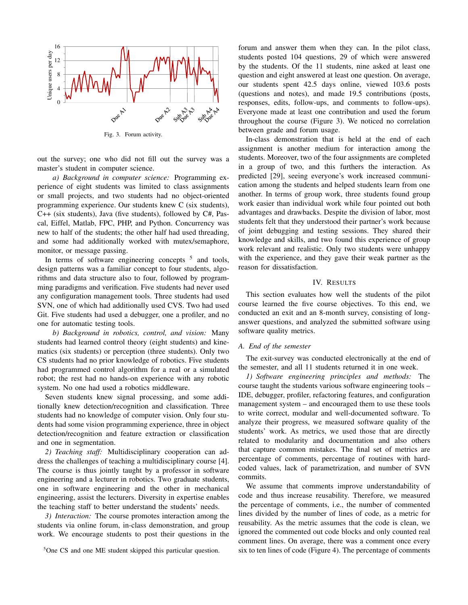

Fig. 3. Forum activity.

out the survey; one who did not fill out the survey was a master's student in computer science.

*a) Background in computer science:* Programming experience of eight students was limited to class assignments or small projects, and two students had no object-oriented programming experience. Our students knew C (six students), C++ (six students), Java (five students), followed by C#, Pascal, Eiffel, Matlab, FPC, PHP, and Python. Concurrency was new to half of the students; the other half had used threading, and some had additionally worked with mutex/semaphore, monitor, or message passing.

In terms of software engineering concepts  $5$  and tools, design patterns was a familiar concept to four students, algorithms and data structure also to four, followed by programming paradigms and verification. Five students had never used any configuration management tools. Three students had used SVN, one of which had additionally used CVS. Two had used Git. Five students had used a debugger, one a profiler, and no one for automatic testing tools.

*b) Background in robotics, control, and vision:* Many students had learned control theory (eight students) and kinematics (six students) or perception (three students). Only two CS students had no prior knowledge of robotics. Five students had programmed control algorithm for a real or a simulated robot; the rest had no hands-on experience with any robotic system. No one had used a robotics middleware.

Seven students knew signal processing, and some additionally knew detection/recognition and classification. Three students had no knowledge of computer vision. Only four students had some vision programming experience, three in object detection/recognition and feature extraction or classification and one in segmentation.

*2) Teaching staff:* Multidisciplinary cooperation can address the challenges of teaching a multidisciplinary course [4]. The course is thus jointly taught by a professor in software engineering and a lecturer in robotics. Two graduate students, one in software engineering and the other in mechanical engineering, assist the lecturers. Diversity in expertise enables the teaching staff to better understand the students' needs.

*3) Interaction:* The course promotes interaction among the students via online forum, in-class demonstration, and group work. We encourage students to post their questions in the forum and answer them when they can. In the pilot class, students posted 104 questions, 29 of which were answered by the students. Of the 11 students, nine asked at least one question and eight answered at least one question. On average, our students spent 42.5 days online, viewed 103.6 posts (questions and notes), and made 19.5 contributions (posts, responses, edits, follow-ups, and comments to follow-ups). Everyone made at least one contribution and used the forum throughout the course (Figure 3). We noticed no correlation between grade and forum usage.

In-class demonstration that is held at the end of each assignment is another medium for interaction among the students. Moreover, two of the four assignments are completed in a group of two, and this furthers the interaction. As predicted [29], seeing everyone's work increased communication among the students and helped students learn from one another. In terms of group work, three students found group work easier than individual work while four pointed out both advantages and drawbacks. Despite the division of labor, most students felt that they understood their partner's work because of joint debugging and testing sessions. They shared their knowledge and skills, and two found this experience of group work relevant and realistic. Only two students were unhappy with the experience, and they gave their weak partner as the reason for dissatisfaction.

## IV. RESULTS

This section evaluates how well the students of the pilot course learned the five course objectives. To this end, we conducted an exit and an 8-month survey, consisting of longanswer questions, and analyzed the submitted software using software quality metrics.

#### *A. End of the semester*

The exit-survey was conducted electronically at the end of the semester, and all 11 students returned it in one week.

*1) Software engineering principles and methods:* The course taught the students various software engineering tools – IDE, debugger, profiler, refactoring features, and configuration management system – and encouraged them to use these tools to write correct, modular and well-documented software. To analyze their progress, we measured software quality of the students' work. As metrics, we used those that are directly related to modularity and documentation and also others that capture common mistakes. The final set of metrics are percentage of comments, percentage of routines with hardcoded values, lack of parametrization, and number of SVN commits.

We assume that comments improve understandability of code and thus increase reusability. Therefore, we measured the percentage of comments, i.e., the number of commented lines divided by the number of lines of code, as a metric for reusability. As the metric assumes that the code is clean, we ignored the commented out code blocks and only counted real comment lines. On average, there was a comment once every six to ten lines of code (Figure 4). The percentage of comments

<sup>5</sup>One CS and one ME student skipped this particular question.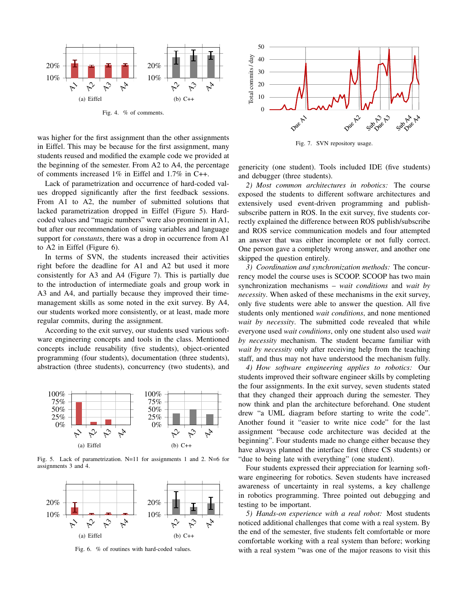

Fig. 4. % of comments.

was higher for the first assignment than the other assignments in Eiffel. This may be because for the first assignment, many students reused and modified the example code we provided at the beginning of the semester. From A2 to A4, the percentage of comments increased 1% in Eiffel and 1.7% in C++.

Lack of parametrization and occurrence of hard-coded values dropped significantly after the first feedback sessions. From A1 to A2, the number of submitted solutions that lacked parametrization dropped in Eiffel (Figure 5). Hardcoded values and "magic numbers" were also prominent in A1, but after our recommendation of using variables and language support for *constants*, there was a drop in occurrence from A1 to A2 in Eiffel (Figure 6).

In terms of SVN, the students increased their activities right before the deadline for A1 and A2 but used it more consistently for A3 and A4 (Figure 7). This is partially due to the introduction of intermediate goals and group work in A3 and A4, and partially because they improved their timemanagement skills as some noted in the exit survey. By A4, our students worked more consistently, or at least, made more regular commits, during the assignment.

According to the exit survey, our students used various software engineering concepts and tools in the class. Mentioned concepts include reusability (five students), object-oriented programming (four students), documentation (three students), abstraction (three students), concurrency (two students), and



Fig. 5. Lack of parametrization. N=11 for assignments 1 and 2. N=6 for assignments 3 and 4.



Fig. 6. % of routines with hard-coded values.



Fig. 7. SVN repository usage.

genericity (one student). Tools included IDE (five students) and debugger (three students).

*2) Most common architectures in robotics:* The course exposed the students to different software architectures and extensively used event-driven programming and publishsubscribe pattern in ROS. In the exit survey, five students correctly explained the difference between ROS publish/subscribe and ROS service communication models and four attempted an answer that was either incomplete or not fully correct. One person gave a completely wrong answer, and another one skipped the question entirely.

*3) Coordination and synchronization methods:* The concurrency model the course uses is SCOOP. SCOOP has two main synchronization mechanisms – *wait conditions* and *wait by necessity*. When asked of these mechanisms in the exit survey, only five students were able to answer the question. All five students only mentioned *wait conditions*, and none mentioned *wait by necessity*. The submitted code revealed that while everyone used *wait conditions*, only one student also used *wait by necessity* mechanism. The student became familiar with *wait by necessity* only after receiving help from the teaching staff, and thus may not have understood the mechanism fully.

*4) How software engineering applies to robotics:* Our students improved their software engineer skills by completing the four assignments. In the exit survey, seven students stated that they changed their approach during the semester. They now think and plan the architecture beforehand. One student drew "a UML diagram before starting to write the code". Another found it "easier to write nice code" for the last assignment "because code architecture was decided at the beginning". Four students made no change either because they have always planned the interface first (three CS students) or "due to being late with everything" (one student).

Four students expressed their appreciation for learning software engineering for robotics. Seven students have increased awareness of uncertainty in real systems, a key challenge in robotics programming. Three pointed out debugging and testing to be important.

*5) Hands-on experience with a real robot:* Most students noticed additional challenges that come with a real system. By the end of the semester, five students felt comfortable or more comfortable working with a real system than before; working with a real system "was one of the major reasons to visit this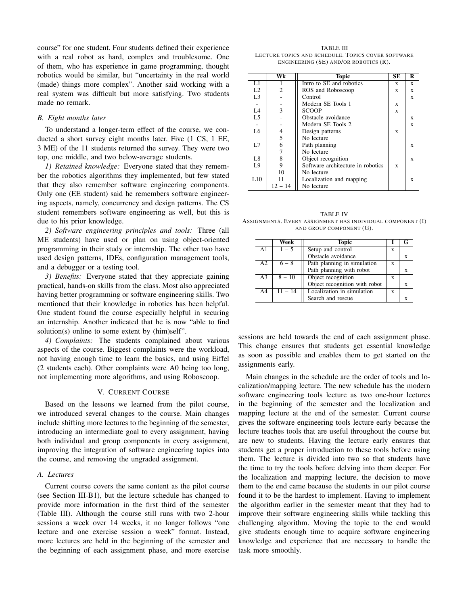course" for one student. Four students defined their experience with a real robot as hard, complex and troublesome. One of them, who has experience in game programming, thought robotics would be similar, but "uncertainty in the real world (made) things more complex". Another said working with a real system was difficult but more satisfying. Two students made no remark.

## *B. Eight months later*

To understand a longer-term effect of the course, we conducted a short survey eight months later. Five (1 CS, 1 EE, 3 ME) of the 11 students returned the survey. They were two top, one middle, and two below-average students.

*1) Retained knowledge:* Everyone stated that they remember the robotics algorithms they implemented, but few stated that they also remember software engineering components. Only one (EE student) said he remembers software engineering aspects, namely, concurrency and design patterns. The CS student remembers software engineering as well, but this is due to his prior knowledge.

*2) Software engineering principles and tools:* Three (all ME students) have used or plan on using object-oriented programming in their study or internship. The other two have used design patterns, IDEs, configuration management tools, and a debugger or a testing tool.

*3) Benefits:* Everyone stated that they appreciate gaining practical, hands-on skills from the class. Most also appreciated having better programming or software engineering skills. Two mentioned that their knowledge in robotics has been helpful. One student found the course especially helpful in securing an internship. Another indicated that he is now "able to find solution(s) online to some extent by (him)self".

*4) Complaints:* The students complained about various aspects of the course. Biggest complaints were the workload, not having enough time to learn the basics, and using Eiffel (2 students each). Other complaints were A0 being too long, not implementing more algorithms, and using Roboscoop.

## V. CURRENT COURSE

Based on the lessons we learned from the pilot course, we introduced several changes to the course. Main changes include shifting more lectures to the beginning of the semester, introducing an intermediate goal to every assignment, having both individual and group components in every assignment, improving the integration of software engineering topics into the course, and removing the ungraded assignment.

# *A. Lectures*

Current course covers the same content as the pilot course (see Section III-B1), but the lecture schedule has changed to provide more information in the first third of the semester (Table III). Although the course still runs with two 2-hour sessions a week over 14 weeks, it no longer follows "one lecture and one exercise session a week" format. Instead, more lectures are held in the beginning of the semester and the beginning of each assignment phase, and more exercise

TABLE III LECTURE TOPICS AND SCHEDULE. TOPICS COVER SOFTWARE ENGINEERING (SE) AND/OR ROBOTICS (R).

|                | $\overline{\text{Wk}}$ | <b>Topic</b>                      | SЕ | R |
|----------------|------------------------|-----------------------------------|----|---|
| L1             |                        | Intro to SE and robotics          | X  | X |
| L <sub>2</sub> | 2                      | ROS and Roboscoop                 | X  | X |
| L <sub>3</sub> |                        | Control                           |    | X |
|                |                        | Modern SE Tools 1                 | X  |   |
| L4             | 3                      | SCOOP                             | X  |   |
| L <sub>5</sub> |                        | Obstacle avoidance                |    | X |
|                |                        | Modern SE Tools 2                 |    | X |
| L6             | 4                      | Design patterns                   | X  |   |
|                | 5                      | No lecture                        |    |   |
| L7             | 6                      | Path planning                     |    | X |
|                | 7                      | No lecture                        |    |   |
| L <sub>8</sub> | 8                      | Object recognition                |    | X |
| L9             | 9                      | Software architecture in robotics | X  |   |
|                | 10                     | No lecture                        |    |   |
| L10            | 11                     | Localization and mapping          |    | X |
|                | 12 – 14                | No lecture                        |    |   |

TABLE IV ASSIGNMENTS. EVERY ASSIGNMENT HAS INDIVIDUAL COMPONENT (I) AND GROUP COMPONENT (G).

|                | Week      | <b>Topic</b>                  |   |   |
|----------------|-----------|-------------------------------|---|---|
| A <sub>1</sub> | $1 - 5$   | Setup and control             | X |   |
|                |           | Obstacle avoidance            |   |   |
| A <sub>2</sub> | $6 - 8$   | Path planning in simulation   | X |   |
|                |           | Path planning with robot      |   | X |
| A3             | $8 - 10$  | Object recognition            | X |   |
|                |           | Object recognition with robot |   | X |
| A <sub>4</sub> | $11 - 14$ | Localization in simulation    | X |   |
|                |           | Search and rescue             |   |   |

sessions are held towards the end of each assignment phase. This change ensures that students get essential knowledge as soon as possible and enables them to get started on the assignments early.

Main changes in the schedule are the order of tools and localization/mapping lecture. The new schedule has the modern software engineering tools lecture as two one-hour lectures in the beginning of the semester and the localization and mapping lecture at the end of the semester. Current course gives the software engineering tools lecture early because the lecture teaches tools that are useful throughout the course but are new to students. Having the lecture early ensures that students get a proper introduction to these tools before using them. The lecture is divided into two so that students have the time to try the tools before delving into them deeper. For the localization and mapping lecture, the decision to move them to the end came because the students in our pilot course found it to be the hardest to implement. Having to implement the algorithm earlier in the semester meant that they had to improve their software engineering skills while tackling this challenging algorithm. Moving the topic to the end would give students enough time to acquire software engineering knowledge and experience that are necessary to handle the task more smoothly.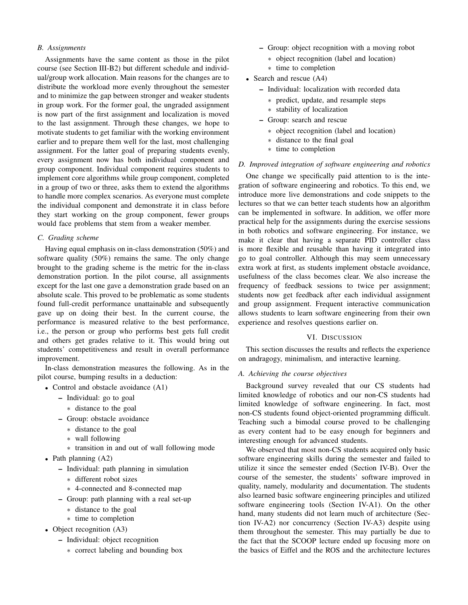# *B. Assignments*

Assignments have the same content as those in the pilot course (see Section III-B2) but different schedule and individual/group work allocation. Main reasons for the changes are to distribute the workload more evenly throughout the semester and to minimize the gap between stronger and weaker students in group work. For the former goal, the ungraded assignment is now part of the first assignment and localization is moved to the last assignment. Through these changes, we hope to motivate students to get familiar with the working environment earlier and to prepare them well for the last, most challenging assignment. For the latter goal of preparing students evenly, every assignment now has both individual component and group component. Individual component requires students to implement core algorithms while group component, completed in a group of two or three, asks them to extend the algorithms to handle more complex scenarios. As everyone must complete the individual component and demonstrate it in class before they start working on the group component, fewer groups would face problems that stem from a weaker member.

## *C. Grading scheme*

Having equal emphasis on in-class demonstration (50%) and software quality (50%) remains the same. The only change brought to the grading scheme is the metric for the in-class demonstration portion. In the pilot course, all assignments except for the last one gave a demonstration grade based on an absolute scale. This proved to be problematic as some students found full-credit performance unattainable and subsequently gave up on doing their best. In the current course, the performance is measured relative to the best performance, i.e., the person or group who performs best gets full credit and others get grades relative to it. This would bring out students' competitiveness and result in overall performance improvement.

In-class demonstration measures the following. As in the pilot course, bumping results in a deduction:

- Control and obstacle avoidance (A1)
	- Individual: go to goal
		- ∗ distance to the goal
	- Group: obstacle avoidance
		- ∗ distance to the goal
		- ∗ wall following
		- ∗ transition in and out of wall following mode
- Path planning (A2)
	- Individual: path planning in simulation
		- ∗ different robot sizes
		- ∗ 4-connected and 8-connected map
	- Group: path planning with a real set-up
		- ∗ distance to the goal
		- ∗ time to completion
- Object recognition (A3)
	- Individual: object recognition
		- ∗ correct labeling and bounding box
- Group: object recognition with a moving robot
	- ∗ object recognition (label and location)
	- ∗ time to completion
- Search and rescue (A4)
	- Individual: localization with recorded data
		- ∗ predict, update, and resample steps
		- ∗ stability of localization
	- Group: search and rescue
		- ∗ object recognition (label and location)
		- ∗ distance to the final goal
		- ∗ time to completion

# *D. Improved integration of software engineering and robotics*

One change we specifically paid attention to is the integration of software engineering and robotics. To this end, we introduce more live demonstrations and code snippets to the lectures so that we can better teach students how an algorithm can be implemented in software. In addition, we offer more practical help for the assignments during the exercise sessions in both robotics and software engineering. For instance, we make it clear that having a separate PID controller class is more flexible and reusable than having it integrated into go to goal controller. Although this may seem unnecessary extra work at first, as students implement obstacle avoidance, usefulness of the class becomes clear. We also increase the frequency of feedback sessions to twice per assignment; students now get feedback after each individual assignment and group assignment. Frequent interactive communication allows students to learn software engineering from their own experience and resolves questions earlier on.

# VI. DISCUSSION

This section discusses the results and reflects the experience on andragogy, minimalism, and interactive learning.

### *A. Achieving the course objectives*

Background survey revealed that our CS students had limited knowledge of robotics and our non-CS students had limited knowledge of software engineering. In fact, most non-CS students found object-oriented programming difficult. Teaching such a bimodal course proved to be challenging as every content had to be easy enough for beginners and interesting enough for advanced students.

We observed that most non-CS students acquired only basic software engineering skills during the semester and failed to utilize it since the semester ended (Section IV-B). Over the course of the semester, the students' software improved in quality, namely, modularity and documentation. The students also learned basic software engineering principles and utilized software engineering tools (Section IV-A1). On the other hand, many students did not learn much of architecture (Section IV-A2) nor concurrency (Section IV-A3) despite using them throughout the semester. This may partially be due to the fact that the SCOOP lecture ended up focusing more on the basics of Eiffel and the ROS and the architecture lectures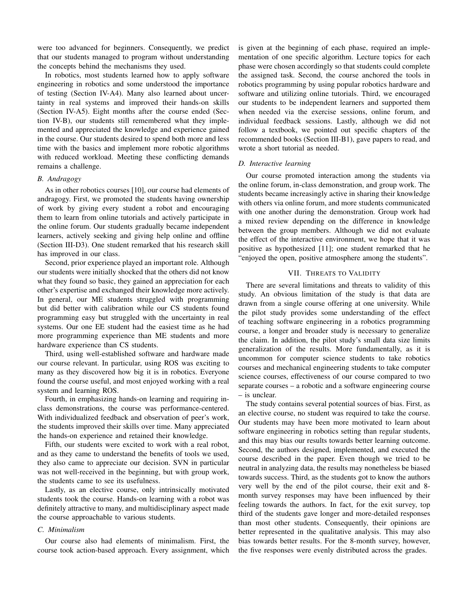were too advanced for beginners. Consequently, we predict that our students managed to program without understanding the concepts behind the mechanisms they used.

In robotics, most students learned how to apply software engineering in robotics and some understood the importance of testing (Section IV-A4). Many also learned about uncertainty in real systems and improved their hands-on skills (Section IV-A5). Eight months after the course ended (Section IV-B), our students still remembered what they implemented and appreciated the knowledge and experience gained in the course. Our students desired to spend both more and less time with the basics and implement more robotic algorithms with reduced workload. Meeting these conflicting demands remains a challenge.

#### *B. Andragogy*

As in other robotics courses [10], our course had elements of andragogy. First, we promoted the students having ownership of work by giving every student a robot and encouraging them to learn from online tutorials and actively participate in the online forum. Our students gradually became independent learners, actively seeking and giving help online and offline (Section III-D3). One student remarked that his research skill has improved in our class.

Second, prior experience played an important role. Although our students were initially shocked that the others did not know what they found so basic, they gained an appreciation for each other's expertise and exchanged their knowledge more actively. In general, our ME students struggled with programming but did better with calibration while our CS students found programming easy but struggled with the uncertainty in real systems. Our one EE student had the easiest time as he had more programming experience than ME students and more hardware experience than CS students.

Third, using well-established software and hardware made our course relevant. In particular, using ROS was exciting to many as they discovered how big it is in robotics. Everyone found the course useful, and most enjoyed working with a real system and learning ROS.

Fourth, in emphasizing hands-on learning and requiring inclass demonstrations, the course was performance-centered. With individualized feedback and observation of peer's work, the students improved their skills over time. Many appreciated the hands-on experience and retained their knowledge.

Fifth, our students were excited to work with a real robot, and as they came to understand the benefits of tools we used, they also came to appreciate our decision. SVN in particular was not well-received in the beginning, but with group work, the students came to see its usefulness.

Lastly, as an elective course, only intrinsically motivated students took the course. Hands-on learning with a robot was definitely attractive to many, and multidisciplinary aspect made the course approachable to various students.

#### *C. Minimalism*

Our course also had elements of minimalism. First, the course took action-based approach. Every assignment, which is given at the beginning of each phase, required an implementation of one specific algorithm. Lecture topics for each phase were chosen accordingly so that students could complete the assigned task. Second, the course anchored the tools in robotics programming by using popular robotics hardware and software and utilizing online tutorials. Third, we encouraged our students to be independent learners and supported them when needed via the exercise sessions, online forum, and individual feedback sessions. Lastly, although we did not follow a textbook, we pointed out specific chapters of the recommended books (Section III-B1), gave papers to read, and wrote a short tutorial as needed.

## *D. Interactive learning*

Our course promoted interaction among the students via the online forum, in-class demonstration, and group work. The students became increasingly active in sharing their knowledge with others via online forum, and more students communicated with one another during the demonstration. Group work had a mixed review depending on the difference in knowledge between the group members. Although we did not evaluate the effect of the interactive environment, we hope that it was positive as hypothesized [11]; one student remarked that he "enjoyed the open, positive atmosphere among the students".

## VII. THREATS TO VALIDITY

There are several limitations and threats to validity of this study. An obvious limitation of the study is that data are drawn from a single course offering at one university. While the pilot study provides some understanding of the effect of teaching software engineering in a robotics programming course, a longer and broader study is necessary to generalize the claim. In addition, the pilot study's small data size limits generalization of the results. More fundamentally, as it is uncommon for computer science students to take robotics courses and mechanical engineering students to take computer science courses, effectiveness of our course compared to two separate courses – a robotic and a software engineering course – is unclear.

The study contains several potential sources of bias. First, as an elective course, no student was required to take the course. Our students may have been more motivated to learn about software engineering in robotics setting than regular students, and this may bias our results towards better learning outcome. Second, the authors designed, implemented, and executed the course described in the paper. Even though we tried to be neutral in analyzing data, the results may nonetheless be biased towards success. Third, as the students got to know the authors very well by the end of the pilot course, their exit and 8 month survey responses may have been influenced by their feeling towards the authors. In fact, for the exit survey, top third of the students gave longer and more-detailed responses than most other students. Consequently, their opinions are better represented in the qualitative analysis. This may also bias towards better results. For the 8-month survey, however, the five responses were evenly distributed across the grades.